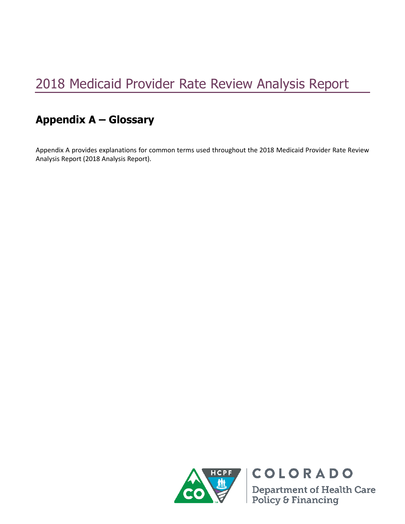## 2018 Medicaid Provider Rate Review Analysis Report

## **Appendix A – Glossary**

Appendix A provides explanations for common terms used throughout the 2018 Medicaid Provider Rate Review Analysis Report (2018 Analysis Report).



COLORADO **Department of Health Care<br>Policy & Financing**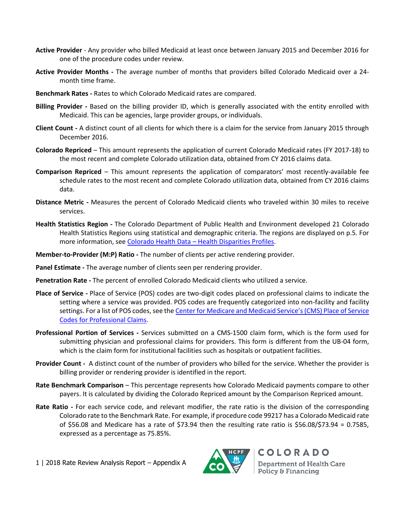- **Active Provider** Any provider who billed Medicaid at least once between January 2015 and December 2016 for one of the procedure codes under review.
- **Active Provider Months -** The average number of months that providers billed Colorado Medicaid over a 24 month time frame.
- **Benchmark Rates -** Rates to which Colorado Medicaid rates are compared.
- **Billing Provider -** Based on the billing provider ID, which is generally associated with the entity enrolled with Medicaid. This can be agencies, large provider groups, or individuals.
- **Client Count -** A distinct count of all clients for which there is a claim for the service from January 2015 through December 2016.
- **Colorado Repriced**  This amount represents the application of current Colorado Medicaid rates (FY 2017-18) to the most recent and complete Colorado utilization data, obtained from CY 2016 claims data.
- **Comparison Repriced**  This amount represents the application of comparators' most recently-available fee schedule rates to the most recent and complete Colorado utilization data, obtained from CY 2016 claims data.
- **Distance Metric -** Measures the percent of Colorado Medicaid clients who traveled within 30 miles to receive services.
- **Health Statistics Region -** The Colorado Department of Public Health and Environment developed 21 Colorado Health Statistics Regions using statistical and demographic criteria. The regions are displayed on p.5. For more information, see Colorado Health Data – [Health Disparities Profiles.](http://www.chd.dphe.state.co.us/HealthDisparitiesProfiles/dispHealthProfiles.aspx)
- **Member-to-Provider (M:P) Ratio -** The number of clients per active rendering provider.
- **Panel Estimate -** The average number of clients seen per rendering provider.
- **Penetration Rate -** The percent of enrolled Colorado Medicaid clients who utilized a service.
- **Place of Service -** Place of Service (POS) codes are two-digit codes placed on professional claims to indicate the setting where a service was provided. POS codes are frequently categorized into non-facility and facility settings. For a list of POS codes, see the [Center for Medicare and Medicaid Service's \(CMS\) Place of Service](https://www.cms.gov/Medicare/Coding/place-of-service-codes/Place_of_Service_Code_Set.html)  [Codes for Professional Claims.](https://www.cms.gov/Medicare/Coding/place-of-service-codes/Place_of_Service_Code_Set.html)
- **Professional Portion of Services -** Services submitted on a CMS-1500 claim form, which is the form used for submitting physician and professional claims for providers. This form is different from the UB-04 form, which is the claim form for institutional facilities such as hospitals or outpatient facilities.
- **Provider Count -** A distinct count of the number of providers who billed for the service. Whether the provider is billing provider or rendering provider is identified in the report.
- **Rate Benchmark Comparison**  This percentage represents how Colorado Medicaid payments compare to other payers. It is calculated by dividing the Colorado Repriced amount by the Comparison Repriced amount.
- **Rate Ratio -** For each service code, and relevant modifier, the rate ratio is the division of the corresponding Colorado rate to the Benchmark Rate. For example, if procedure code 99217 has a Colorado Medicaid rate of \$56.08 and Medicare has a rate of \$73.94 then the resulting rate ratio is \$56.08/\$73.94 = 0.7585, expressed as a percentage as 75.85%.

1 | 2018 Rate Review Analysis Report – Appendix A



COLORADO **Department of Health Care** Policy & Financing